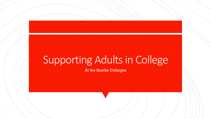# Supporting Adults in College

At the Seattle Colleges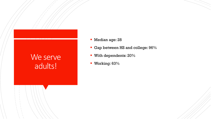### We serve adults!

- **Median age: 28**
- Gap between HS and college:  $96\%$
- **With dependents: 20%**
- **Working: 63%**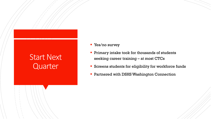### Start Next **Quarter**

- **Tes/no survey**
- **Primary intake took for thousands of students** seeking career training – at most CTCs
- **Screens students for eligibility for workforce funds**
- **Partnered with DSHS Washington Connection**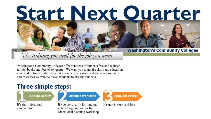### The training you need for the job you want

Washington's Community Colleges offer hundreds of students free and reduced tuition, books and fees every quarter. We want you to get the skills and education you need to find a stable career at a competitive salary, and we have programs and resources we want to make available to eligible students.

### **Three simple steps:**

**Take the survey** 

It's short, free, and anonymous.

**Attend a workshop** 

If you pre-qualify for funding, you can sign up for our free educational planning workshop. **Apply for college** 

It's quick, easy, and free.

Start Next Ouarter

#### **Washington's Community Colleges**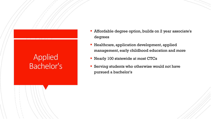## **Applied** Bachelor's

- Affordable degree option, builds on 2 year associate's degrees
- **Healthcare, application development, applied** management, early childhood education and more
- **Nearly 100 statewide at most CTCs**
- **Serving students who otherwise would not have** pursued a bachelor's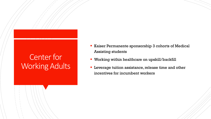### Center for Working Adults

- Kaiser Permanente sponsorship 3 cohorts of Medical Assisting students
- Working within healthcare on upskill/backfill
- **Leverage tuition assistance, release time and other** incentives for incumbent workers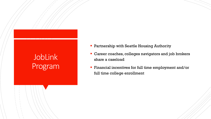## JobLink Program

- **Partnership with Seattle Housing Authority**
- Career coaches, colleges navigators and job brokers share a caseload
- **Financial incentives for full time employment and/or** full time college enrollment